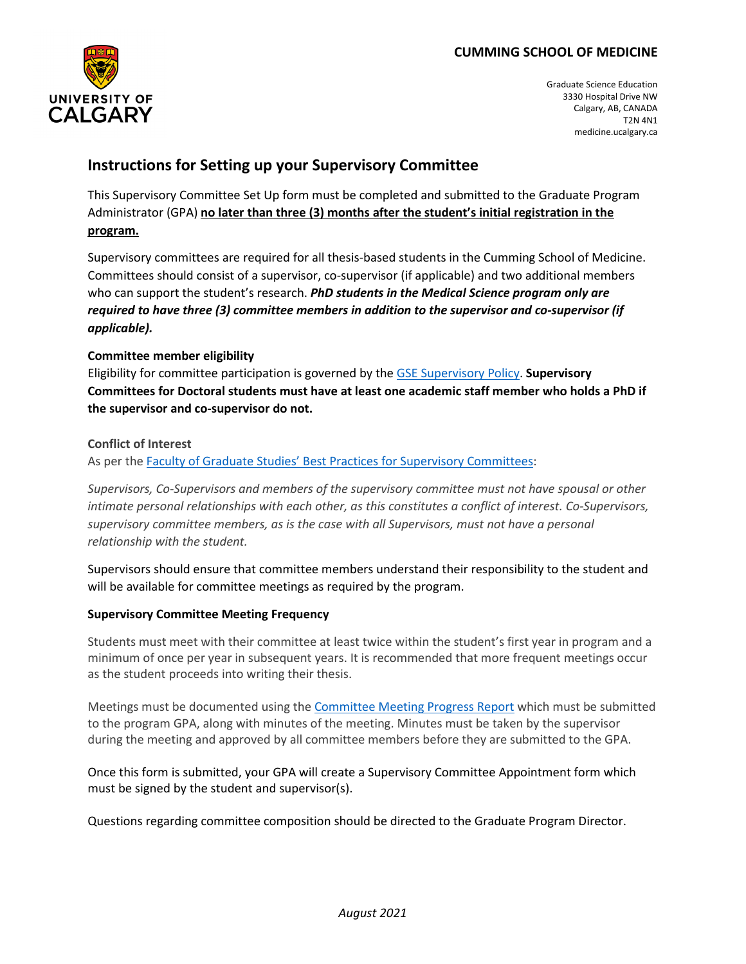

Graduate Science Education 3330 Hospital Drive NW Calgary, AB, CANADA T2N 4N1 medicine.ucalgary.ca

# **Instructions for Setting up your Supervisory Committee**

This Supervisory Committee Set Up form must be completed and submitted to the Graduate Program Administrator (GPA) **no later than three (3) months after the student's initial registration in the program.** 

Supervisory committees are required for all thesis-based students in the Cumming School of Medicine. Committees should consist of a supervisor, co-supervisor (if applicable) and two additional members who can support the student's research. *PhD students in the Medical Science program only are required to have three (3) committee members in addition to the supervisor and co-supervisor (if applicable).* 

### **Committee member eligibility**

Eligibility for committee participation is governed by the [GSE Supervisory Policy.](https://cumming.ucalgary.ca/sites/default/files/teams/13/Graduate%20Program%20Supervisory%20Policy%20CSM%20programs_May%2019%2C%202021.pdf) **Supervisory Committees for Doctoral students must have at least one academic staff member who holds a PhD if the supervisor and co-supervisor do not.**

#### **Conflict of Interest**

As per the [Faculty of Graduate Studies' Best Practices for Supervisory Committees:](https://grad.ucalgary.ca/services/faculty-and-staff/supervisor-resources/best-practices-supervisory-committees)

*Supervisors, Co-Supervisors and members of the supervisory committee must not have spousal or other intimate personal relationships with each other, as this constitutes a conflict of interest. Co-Supervisors, supervisory committee members, as is the case with all Supervisors, must not have a personal relationship with the student.*

Supervisors should ensure that committee members understand their responsibility to the student and will be available for committee meetings as required by the program.

#### **Supervisory Committee Meeting Frequency**

Students must meet with their committee at least twice within the student's first year in program and a minimum of once per year in subsequent years. It is recommended that more frequent meetings occur as the student proceeds into writing their thesis.

Meetings must be documented using the [Committee Meeting Progress Report](https://wcm.ucalgary.ca/gse/files/gse/supervisory-committee-meeting-progress-report-mar2016.docx) which must be submitted to the program GPA, along with minutes of the meeting. Minutes must be taken by the supervisor during the meeting and approved by all committee members before they are submitted to the GPA.

Once this form is submitted, your GPA will create a Supervisory Committee Appointment form which must be signed by the student and supervisor(s).

Questions regarding committee composition should be directed to the Graduate Program Director.